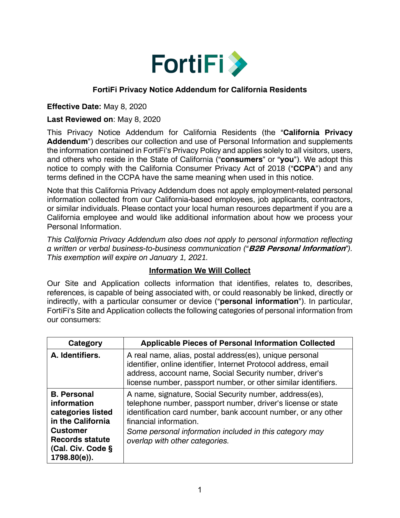

### **FortiFi Privacy Notice Addendum for California Residents**

#### **Effective Date:** May 8, 2020

#### **Last Reviewed on**: May 8, 2020

This Privacy Notice Addendum for California Residents (the "**California Privacy Addendum**") describes our collection and use of Personal Information and supplements the information contained in FortiFi's Privacy Policy and applies solely to all visitors, users, and others who reside in the State of California ("**consumers**" or "**you**"). We adopt this notice to comply with the California Consumer Privacy Act of 2018 ("**CCPA**") and any terms defined in the CCPA have the same meaning when used in this notice.

Note that this California Privacy Addendum does not apply employment-related personal information collected from our California-based employees, job applicants, contractors, or similar individuals. Please contact your local human resources department if you are a California employee and would like additional information about how we process your Personal Information.

*This California Privacy Addendum also does not apply to personal information reflecting a written or verbal business-to-business communication ("***B2B Personal Information***"). This exemption will expire on January 1, 2021.* 

#### **Information We Will Collect**

Our Site and Application collects information that identifies, relates to, describes, references, is capable of being associated with, or could reasonably be linked, directly or indirectly, with a particular consumer or device ("**personal information**"). In particular, FortiFi's Site and Application collects the following categories of personal information from our consumers:

| Category                                                                                                                                                         | <b>Applicable Pieces of Personal Information Collected</b>                                                                                                                                                                                                                                                      |
|------------------------------------------------------------------------------------------------------------------------------------------------------------------|-----------------------------------------------------------------------------------------------------------------------------------------------------------------------------------------------------------------------------------------------------------------------------------------------------------------|
| A. Identifiers.                                                                                                                                                  | A real name, alias, postal address(es), unique personal<br>identifier, online identifier, Internet Protocol address, email<br>address, account name, Social Security number, driver's<br>license number, passport number, or other similar identifiers.                                                         |
| <b>B.</b> Personal<br>information<br>categories listed<br>in the California<br><b>Customer</b><br><b>Records statute</b><br>(Cal. Civ. Code §<br>$1798.80(e)$ ). | A name, signature, Social Security number, address(es),<br>telephone number, passport number, driver's license or state<br>identification card number, bank account number, or any other<br>financial information.<br>Some personal information included in this category may<br>overlap with other categories. |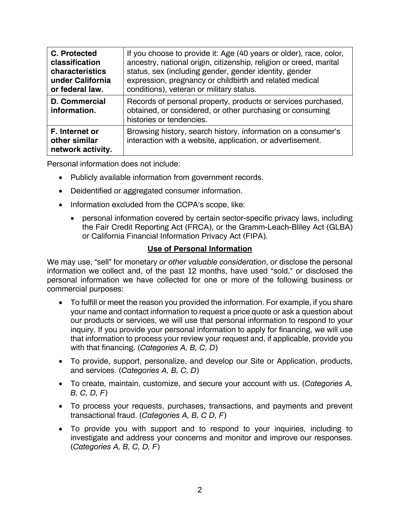| C. Protected<br>classification<br>characteristics<br>under California<br>or federal law. | If you choose to provide it: Age (40 years or older), race, color,<br>ancestry, national origin, citizenship, religion or creed, marital<br>status, sex (including gender, gender identity, gender<br>expression, pregnancy or childbirth and related medical<br>conditions), veteran or military status. |
|------------------------------------------------------------------------------------------|-----------------------------------------------------------------------------------------------------------------------------------------------------------------------------------------------------------------------------------------------------------------------------------------------------------|
| <b>D. Commercial</b><br>information.                                                     | Records of personal property, products or services purchased,<br>obtained, or considered, or other purchasing or consuming<br>histories or tendencies.                                                                                                                                                    |
| F. Internet or<br>other similar<br>network activity.                                     | Browsing history, search history, information on a consumer's<br>interaction with a website, application, or advertisement.                                                                                                                                                                               |

Personal information does not include:

- Publicly available information from government records.
- Deidentified or aggregated consumer information.
- Information excluded from the CCPA's scope, like:
	- personal information covered by certain sector-specific privacy laws, including the Fair Credit Reporting Act (FRCA), or the Gramm-Leach-Bliley Act (GLBA) or California Financial Information Privacy Act (FIPA).

#### **Use of Personal Information**

We may use, "sell" for monetary *or other valuable consideration*, or disclose the personal information we collect and, of the past 12 months, have used "sold," or disclosed the personal information we have collected for one or more of the following business or commercial purposes:

- To fulfill or meet the reason you provided the information. For example, if you share your name and contact information to request a price quote or ask a question about our products or services, we will use that personal information to respond to your inquiry. If you provide your personal information to apply for financing, we will use that information to process your review your request and, if applicable, provide you with that financing. (*Categories A, B, C, D*)
- To provide, support, personalize, and develop our Site or Application, products, and services. (*Categories A, B, C, D*)
- To create, maintain, customize, and secure your account with us. (*Categories A, B, C, D, F*)
- To process your requests, purchases, transactions, and payments and prevent transactional fraud. (*Categories A, B, C D, F*)
- To provide you with support and to respond to your inquiries, including to investigate and address your concerns and monitor and improve our responses. (*Categories A, B, C, D, F*)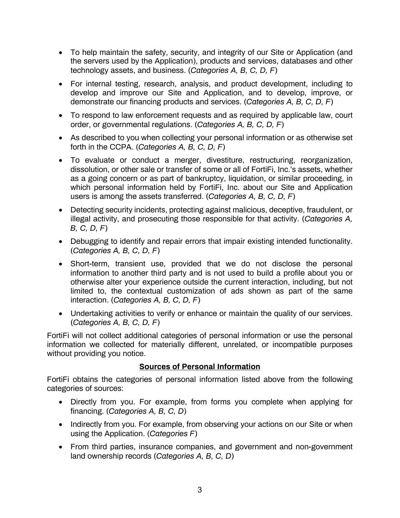- To help maintain the safety, security, and integrity of our Site or Application (and the servers used by the Application), products and services, databases and other technology assets, and business. (*Categories A, B, C, D, F*)
- For internal testing, research, analysis, and product development, including to develop and improve our Site and Application, and to develop, improve, or demonstrate our financing products and services. (*Categories A, B, C, D, F*)
- To respond to law enforcement requests and as required by applicable law, court order, or governmental regulations. (*Categories A, B, C, D, F*)
- As described to you when collecting your personal information or as otherwise set forth in the CCPA. (*Categories A, B, C, D, F*)
- To evaluate or conduct a merger, divestiture, restructuring, reorganization, dissolution, or other sale or transfer of some or all of FortiFi, Inc.'s assets, whether as a going concern or as part of bankruptcy, liquidation, or similar proceeding, in which personal information held by FortiFi, Inc. about our Site and Application users is among the assets transferred. (*Categories A, B, C, D, F*)
- Detecting security incidents, protecting against malicious, deceptive, fraudulent, or illegal activity, and prosecuting those responsible for that activity. (*Categories A, B, C, D, F*)
- Debugging to identify and repair errors that impair existing intended functionality. (*Categories A, B, C, D, F*)
- Short-term, transient use, provided that we do not disclose the personal information to another third party and is not used to build a profile about you or otherwise alter your experience outside the current interaction, including, but not limited to, the contextual customization of ads shown as part of the same interaction. (*Categories A, B, C, D, F*)
- Undertaking activities to verify or enhance or maintain the quality of our services. (*Categories A, B, C, D, F*)

FortiFi will not collect additional categories of personal information or use the personal information we collected for materially different, unrelated, or incompatible purposes without providing you notice.

## **Sources of Personal Information**

FortiFi obtains the categories of personal information listed above from the following categories of sources:

- Directly from you. For example, from forms you complete when applying for financing. (*Categories A, B, C, D*)
- Indirectly from you. For example, from observing your actions on our Site or when using the Application. (*Categories F*)
- From third parties, insurance companies, and government and non-government land ownership records (*Categories A, B, C, D*)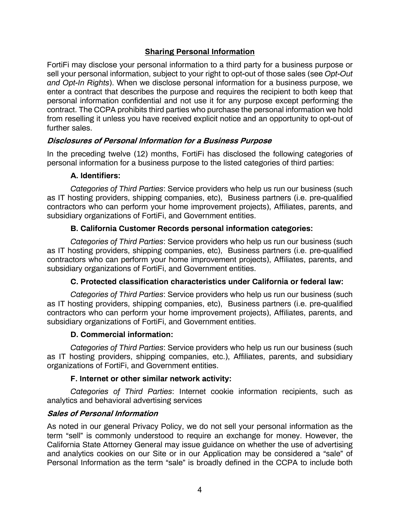# **Sharing Personal Information**

FortiFi may disclose your personal information to a third party for a business purpose or sell your personal information, subject to your right to opt-out of those sales (see *Opt-Out and Opt-In Rights*). When we disclose personal information for a business purpose, we enter a contract that describes the purpose and requires the recipient to both keep that personal information confidential and not use it for any purpose except performing the contract. The CCPA prohibits third parties who purchase the personal information we hold from reselling it unless you have received explicit notice and an opportunity to opt-out of further sales.

## **Disclosures of Personal Information for a Business Purpose**

In the preceding twelve (12) months, FortiFi has disclosed the following categories of personal information for a business purpose to the listed categories of third parties:

#### **A. Identifiers:**

*Categories of Third Parties*: Service providers who help us run our business (such as IT hosting providers, shipping companies, etc), Business partners (i.e. pre-qualified contractors who can perform your home improvement projects), Affiliates, parents, and subsidiary organizations of FortiFi, and Government entities.

## **B. California Customer Records personal information categories:**

*Categories of Third Parties*: Service providers who help us run our business (such as IT hosting providers, shipping companies, etc), Business partners (i.e. pre-qualified contractors who can perform your home improvement projects), Affiliates, parents, and subsidiary organizations of FortiFi, and Government entities.

## **C. Protected classification characteristics under California or federal law:**

*Categories of Third Parties*: Service providers who help us run our business (such as IT hosting providers, shipping companies, etc), Business partners (i.e. pre-qualified contractors who can perform your home improvement projects), Affiliates, parents, and subsidiary organizations of FortiFi, and Government entities.

#### **D. Commercial information:**

*Categories of Third Parties*: Service providers who help us run our business (such as IT hosting providers, shipping companies, etc.), Affiliates, parents, and subsidiary organizations of FortiFi, and Government entities.

#### **F. Internet or other similar network activity:**

*Categories of Third Parties*: Internet cookie information recipients, such as analytics and behavioral advertising services

#### **Sales of Personal Information**

As noted in our general Privacy Policy, we do not sell your personal information as the term "sell" is commonly understood to require an exchange for money. However, the California State Attorney General may issue guidance on whether the use of advertising and analytics cookies on our Site or in our Application may be considered a "sale" of Personal Information as the term "sale" is broadly defined in the CCPA to include both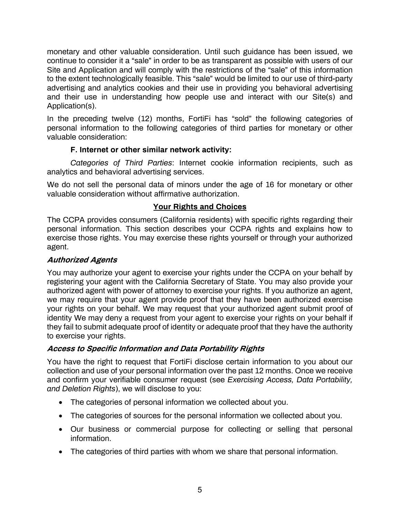monetary and other valuable consideration. Until such guidance has been issued, we continue to consider it a "sale" in order to be as transparent as possible with users of our Site and Application and will comply with the restrictions of the "sale" of this information to the extent technologically feasible. This "sale" would be limited to our use of third-party advertising and analytics cookies and their use in providing you behavioral advertising and their use in understanding how people use and interact with our Site(s) and Application(s).

In the preceding twelve (12) months, FortiFi has "sold" the following categories of personal information to the following categories of third parties for monetary or other valuable consideration:

## **F. Internet or other similar network activity:**

*Categories of Third Parties*: Internet cookie information recipients, such as analytics and behavioral advertising services.

We do not sell the personal data of minors under the age of 16 for monetary or other valuable consideration without affirmative authorization.

# **Your Rights and Choices**

The CCPA provides consumers (California residents) with specific rights regarding their personal information. This section describes your CCPA rights and explains how to exercise those rights. You may exercise these rights yourself or through your authorized agent.

# **Authorized Agents**

You may authorize your agent to exercise your rights under the CCPA on your behalf by registering your agent with the California Secretary of State. You may also provide your authorized agent with power of attorney to exercise your rights. If you authorize an agent, we may require that your agent provide proof that they have been authorized exercise your rights on your behalf. We may request that your authorized agent submit proof of identity We may deny a request from your agent to exercise your rights on your behalf if they fail to submit adequate proof of identity or adequate proof that they have the authority to exercise your rights.

## **Access to Specific Information and Data Portability Rights**

You have the right to request that FortiFi disclose certain information to you about our collection and use of your personal information over the past 12 months. Once we receive and confirm your verifiable consumer request (see *Exercising Access, Data Portability, and Deletion Rights*), we will disclose to you:

- The categories of personal information we collected about you.
- The categories of sources for the personal information we collected about you.
- Our business or commercial purpose for collecting or selling that personal information.
- The categories of third parties with whom we share that personal information.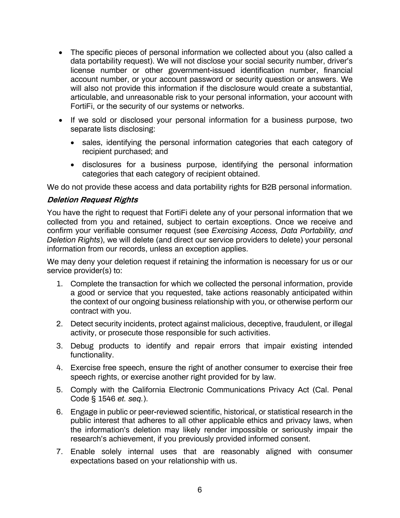- The specific pieces of personal information we collected about you (also called a data portability request). We will not disclose your social security number, driver's license number or other government-issued identification number, financial account number, or your account password or security question or answers. We will also not provide this information if the disclosure would create a substantial, articulable, and unreasonable risk to your personal information, your account with FortiFi, or the security of our systems or networks.
- If we sold or disclosed your personal information for a business purpose, two separate lists disclosing:
	- sales, identifying the personal information categories that each category of recipient purchased; and
	- disclosures for a business purpose, identifying the personal information categories that each category of recipient obtained.

We do not provide these access and data portability rights for B2B personal information.

#### **Deletion Request Rights**

You have the right to request that FortiFi delete any of your personal information that we collected from you and retained, subject to certain exceptions. Once we receive and confirm your verifiable consumer request (see *Exercising Access, Data Portability, and Deletion Rights*), we will delete (and direct our service providers to delete) your personal information from our records, unless an exception applies.

We may deny your deletion request if retaining the information is necessary for us or our service provider(s) to:

- 1. Complete the transaction for which we collected the personal information, provide a good or service that you requested, take actions reasonably anticipated within the context of our ongoing business relationship with you, or otherwise perform our contract with you.
- 2. Detect security incidents, protect against malicious, deceptive, fraudulent, or illegal activity, or prosecute those responsible for such activities.
- 3. Debug products to identify and repair errors that impair existing intended functionality.
- 4. Exercise free speech, ensure the right of another consumer to exercise their free speech rights, or exercise another right provided for by law.
- 5. Comply with the California Electronic Communications Privacy Act (Cal. Penal Code § 1546 *et. seq.*).
- 6. Engage in public or peer-reviewed scientific, historical, or statistical research in the public interest that adheres to all other applicable ethics and privacy laws, when the information's deletion may likely render impossible or seriously impair the research's achievement, if you previously provided informed consent.
- 7. Enable solely internal uses that are reasonably aligned with consumer expectations based on your relationship with us.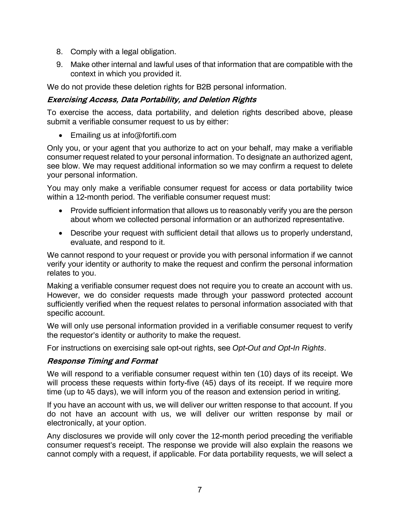- 8. Comply with a legal obligation.
- 9. Make other internal and lawful uses of that information that are compatible with the context in which you provided it.

We do not provide these deletion rights for B2B personal information.

## **Exercising Access, Data Portability, and Deletion Rights**

To exercise the access, data portability, and deletion rights described above, please submit a verifiable consumer request to us by either:

• Emailing us at info@fortifi.com

Only you, or your agent that you authorize to act on your behalf, may make a verifiable consumer request related to your personal information. To designate an authorized agent, see blow. We may request additional information so we may confirm a request to delete your personal information.

You may only make a verifiable consumer request for access or data portability twice within a 12-month period. The verifiable consumer request must:

- Provide sufficient information that allows us to reasonably verify you are the person about whom we collected personal information or an authorized representative.
- Describe your request with sufficient detail that allows us to properly understand, evaluate, and respond to it.

We cannot respond to your request or provide you with personal information if we cannot verify your identity or authority to make the request and confirm the personal information relates to you.

Making a verifiable consumer request does not require you to create an account with us. However, we do consider requests made through your password protected account sufficiently verified when the request relates to personal information associated with that specific account.

We will only use personal information provided in a verifiable consumer request to verify the requestor's identity or authority to make the request.

For instructions on exercising sale opt-out rights, see *Opt-Out and Opt-In Rights*.

## **Response Timing and Format**

We will respond to a verifiable consumer request within ten (10) days of its receipt. We will process these requests within forty-five (45) days of its receipt. If we require more time (up to 45 days), we will inform you of the reason and extension period in writing.

If you have an account with us, we will deliver our written response to that account. If you do not have an account with us, we will deliver our written response by mail or electronically, at your option.

Any disclosures we provide will only cover the 12-month period preceding the verifiable consumer request's receipt. The response we provide will also explain the reasons we cannot comply with a request, if applicable. For data portability requests, we will select a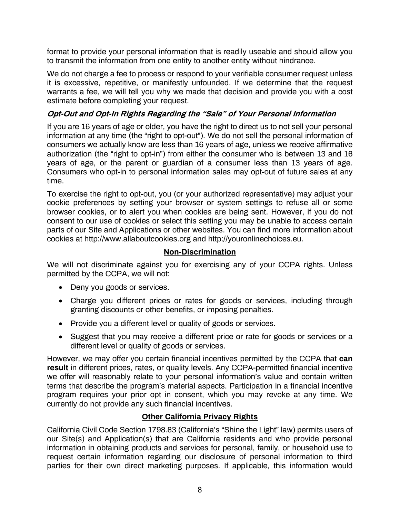format to provide your personal information that is readily useable and should allow you to transmit the information from one entity to another entity without hindrance.

We do not charge a fee to process or respond to your verifiable consumer request unless it is excessive, repetitive, or manifestly unfounded. If we determine that the request warrants a fee, we will tell you why we made that decision and provide you with a cost estimate before completing your request.

# **Opt-Out and Opt-In Rights Regarding the "Sale" of Your Personal Information**

If you are 16 years of age or older, you have the right to direct us to not sell your personal information at any time (the "right to opt-out"). We do not sell the personal information of consumers we actually know are less than 16 years of age, unless we receive affirmative authorization (the "right to opt-in") from either the consumer who is between 13 and 16 years of age, or the parent or guardian of a consumer less than 13 years of age. Consumers who opt-in to personal information sales may opt-out of future sales at any time.

To exercise the right to opt-out, you (or your authorized representative) may adjust your cookie preferences by setting your browser or system settings to refuse all or some browser cookies, or to alert you when cookies are being sent. However, if you do not consent to our use of cookies or select this setting you may be unable to access certain parts of our Site and Applications or other websites. You can find more information about cookies at http://www.allaboutcookies.org and http://youronlinechoices.eu.

## **Non-Discrimination**

We will not discriminate against you for exercising any of your CCPA rights. Unless permitted by the CCPA, we will not:

- Deny you goods or services.
- Charge you different prices or rates for goods or services, including through granting discounts or other benefits, or imposing penalties.
- Provide you a different level or quality of goods or services.
- Suggest that you may receive a different price or rate for goods or services or a different level or quality of goods or services.

However, we may offer you certain financial incentives permitted by the CCPA that **can result** in different prices, rates, or quality levels. Any CCPA-permitted financial incentive we offer will reasonably relate to your personal information's value and contain written terms that describe the program's material aspects. Participation in a financial incentive program requires your prior opt in consent, which you may revoke at any time. We currently do not provide any such financial incentives.

## **Other California Privacy Rights**

California Civil Code Section 1798.83 (California's "Shine the Light" law) permits users of our Site(s) and Application(s) that are California residents and who provide personal information in obtaining products and services for personal, family, or household use to request certain information regarding our disclosure of personal information to third parties for their own direct marketing purposes. If applicable, this information would